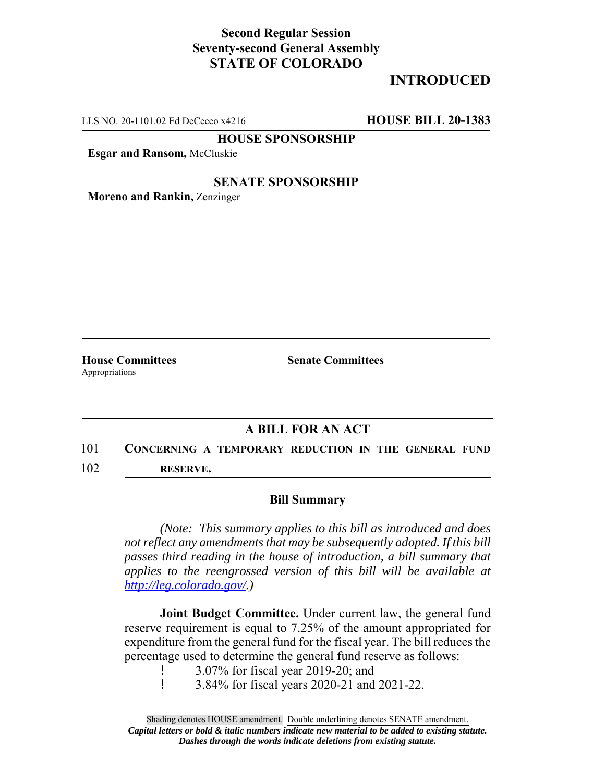## **Second Regular Session Seventy-second General Assembly STATE OF COLORADO**

# **INTRODUCED**

LLS NO. 20-1101.02 Ed DeCecco x4216 **HOUSE BILL 20-1383**

**HOUSE SPONSORSHIP**

**Esgar and Ransom,** McCluskie

### **SENATE SPONSORSHIP**

**Moreno and Rankin,** Zenzinger

Appropriations

**House Committees Senate Committees** 

## **A BILL FOR AN ACT**

# 101 **CONCERNING A TEMPORARY REDUCTION IN THE GENERAL FUND**

102 **RESERVE.**

#### **Bill Summary**

*(Note: This summary applies to this bill as introduced and does not reflect any amendments that may be subsequently adopted. If this bill passes third reading in the house of introduction, a bill summary that applies to the reengrossed version of this bill will be available at http://leg.colorado.gov/.)*

**Joint Budget Committee.** Under current law, the general fund reserve requirement is equal to 7.25% of the amount appropriated for expenditure from the general fund for the fiscal year. The bill reduces the percentage used to determine the general fund reserve as follows:

! 3.07% for fiscal year 2019-20; and

! 3.84% for fiscal years 2020-21 and 2021-22.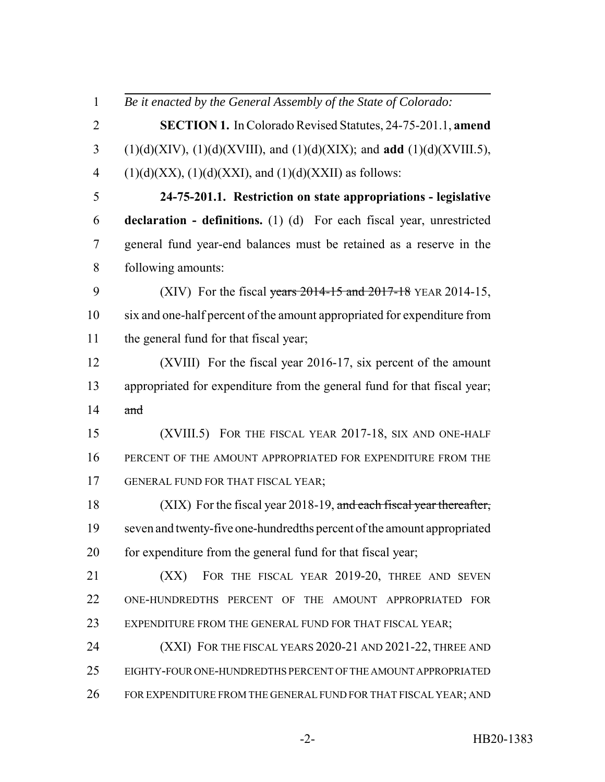*Be it enacted by the General Assembly of the State of Colorado:* **SECTION 1.** In Colorado Revised Statutes, 24-75-201.1, **amend** (1)(d)(XIV), (1)(d)(XVIII), and (1)(d)(XIX); and **add** (1)(d)(XVIII.5), 4 (1)(d)(XX), (1)(d)(XXI), and (1)(d)(XXII) as follows: **24-75-201.1. Restriction on state appropriations - legislative declaration - definitions.** (1) (d) For each fiscal year, unrestricted general fund year-end balances must be retained as a reserve in the following amounts: 9 (XIV) For the fiscal years 2014-15 and 2017-18 YEAR 2014-15, six and one-half percent of the amount appropriated for expenditure from 11 the general fund for that fiscal year; (XVIII) For the fiscal year 2016-17, six percent of the amount appropriated for expenditure from the general fund for that fiscal year; and (XVIII.5) FOR THE FISCAL YEAR 2017-18, SIX AND ONE-HALF PERCENT OF THE AMOUNT APPROPRIATED FOR EXPENDITURE FROM THE GENERAL FUND FOR THAT FISCAL YEAR; 18 (XIX) For the fiscal year 2018-19, and each fiscal year thereafter, seven and twenty-five one-hundredths percent of the amount appropriated 20 for expenditure from the general fund for that fiscal year; **(XX)** FOR THE FISCAL YEAR 2019-20, THREE AND SEVEN ONE-HUNDREDTHS PERCENT OF THE AMOUNT APPROPRIATED FOR 23 EXPENDITURE FROM THE GENERAL FUND FOR THAT FISCAL YEAR; 24 (XXI) FOR THE FISCAL YEARS 2020-21 AND 2021-22, THREE AND EIGHTY-FOUR ONE-HUNDREDTHS PERCENT OF THE AMOUNT APPROPRIATED 26 FOR EXPENDITURE FROM THE GENERAL FUND FOR THAT FISCAL YEAR; AND